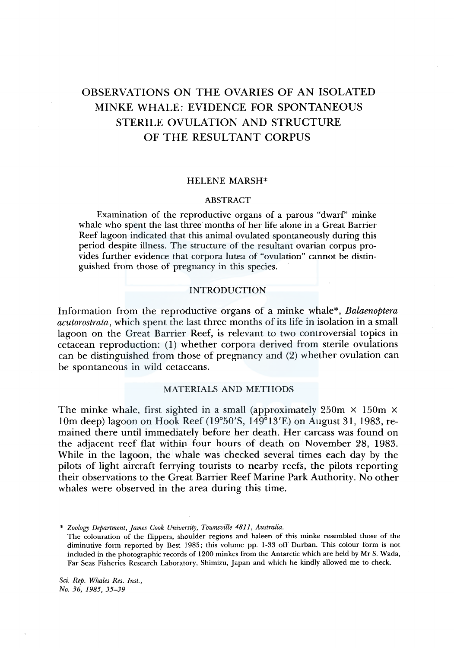# OBSERVATIONS ON THE OVARIES OF AN ISOLATED MINKE WHALE: EVIDENCE FOR SPONTANEOUS STERILE OVULATION AND STRUCTURE OF THE RESULTANT CORPUS

# HELENE MARSH\*

#### ABSTRACT

Examination of the reproductive organs of a parous "dwarf' minke whale who spent the last three months of her life alone in a Great Barrier Reef lagoon indicated that this animal ovulated spontaneously during this period despite illness. The structure of the resultant ovarian corpus provides further evidence that corpora lutea of "ovulation" cannot be distinguished from those of pregnancy in this species.

## INTRODUCTION

Information from the reproductive organs of a minke whale\*, *Balaenoptera acutorostrata,* which spent the last three months of its life in isolation in a small lagoon on the Great Barrier Reef, is relevant to two controversial topics in cetacean reproduction: (1) whether corpora derived from sterile ovulations can be distinguished from those of pregnancy and (2) whether ovulation can be spontaneous in wild cetaceans.

#### MATERIALS AND METHODS

The minke whale, first sighted in a small (approximately  $250m \times 150m \times$ 10m deep) lagoon on Hook Reef (19°50'S,  $149^{\circ}13'$ E) on August 31, 1983, remained there until immediately before her death. Her carcass was found on the adjacent reef flat within four hours of death on November 28, 1983. While in the lagoon, the whale was checked several times each day by the pilots of light aircraft ferrying tourists to nearby reefs, the pilots reporting their observations to the Great Barrier Reef Marine Park Authority. No other whales were observed in the area during this time.

\* *Zoology Department, James Cook University, Townsville 4811, Australia.* 

The colouration of the flippers, shoulder regions and baleen of this minke resembled those of the diminutive form reported by Best 1985; this volume pp. 1-33 off Durban. This colour form is not included in the photographic records of 1200 minkes from the Antarctic which are held by Mr S. Wada, Far Seas Fisheries Research Laboratory, Shimizu, Japan and which he kindly allowed me to check.

*Sci. Rep. Whales Res. Inst., No. 36, 1985, 35-39*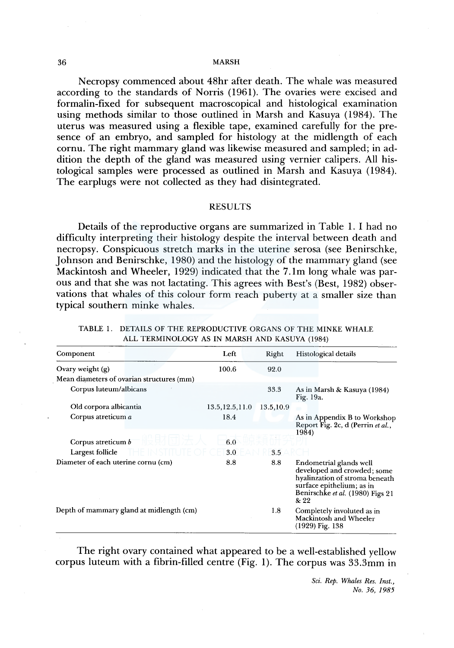#### 36 MARSH

Necropsy commenced about 48hr after death. The whale was measured according to the standards of Norris (1961). The ovaries were excised and formalin-fixed for subsequent macroscopical and histological examination using methods similar to those outlined in Marsh and Kasuya (1984). The uterus was measured using a flexible tape, examined carefully for the presence of an embryo, and sampled for histology at the midlength of each cornu. The right mammary gland was likewise measured and sampled; in addition the depth of the gland was measured using vernier calipers. All histological samples were processed as outlined in Marsh and Kasuya (1984). The earplugs were not collected as they had disintegrated.

## RESULTS

Details of the reproductive organs are summarized in Table 1. I had no difficulty interpreting their histology despite the interval between death and necropsy. Conspicuous stretch marks in the uterine serosa (see Benirschke, Johnson and Benirschke, 1980) and the histology of the mammary gland (see Mackintosh and Wheeler, 1929) indicated that the 7.lm long whale was parous and that she was not lactating. This agrees with Best's (Best, 1982) observations that whales of this colour form reach puberty at a smaller size than typical southern minke whales.

|  | ALL TERMINOLOGY AS IN MARSH AND KASUYA (1984)                  |  |
|--|----------------------------------------------------------------|--|
|  | TABLE T. DETAILS OF THE KEPRODUCTIVE ORGANS OF THE MINKE WHALE |  |

THE DEDRODUCTIVE ORG

| Component                           |                                           | Left             | Right                                                                                                                                                             | Histological details                                                       |
|-------------------------------------|-------------------------------------------|------------------|-------------------------------------------------------------------------------------------------------------------------------------------------------------------|----------------------------------------------------------------------------|
| Ovary weight (g)                    |                                           | 100.6            | 92.0                                                                                                                                                              |                                                                            |
|                                     | Mean diameters of ovarian structures (mm) |                  |                                                                                                                                                                   |                                                                            |
| Corpus luteum/albicans              |                                           | 33.3             | As in Marsh & Kasuya (1984)<br>Fig. 19a.                                                                                                                          |                                                                            |
| Old corpora albicantia              |                                           | 13.5, 12.5, 11.0 | 13.5, 10.9                                                                                                                                                        |                                                                            |
| Corpus atreticum a                  |                                           | 18.4             |                                                                                                                                                                   | As in Appendix B to Workshop<br>Report Fig. 2c, d (Perrin et al.,<br>1984) |
| Corpus atreticum b                  |                                           | 6.0              |                                                                                                                                                                   |                                                                            |
| Largest follicle                    |                                           | 3.0              | 3.5                                                                                                                                                               |                                                                            |
| Diameter of each uterine cornu (cm) | 8.8                                       | 8.8              | Endometrial glands well<br>developed and crowded; some<br>hyalinzation of stroma beneath<br>surface epithelium; as in<br>Benirschke et al. (1980) Figs 21<br>& 22 |                                                                            |
|                                     | Depth of mammary gland at midlength (cm)  |                  | 1.8                                                                                                                                                               | Completely involuted as in<br>Mackintosh and Wheeler<br>(1929) Fig. 138    |

The right ovary contained what appeared to be a well-established yellow corpus luteum with a fibrin-filled centre (Fig. 1). The corpus was  $33.3<sub>mm</sub>$  in

> *Sci. Rep. Whales Res. Inst., No. 36, 1985*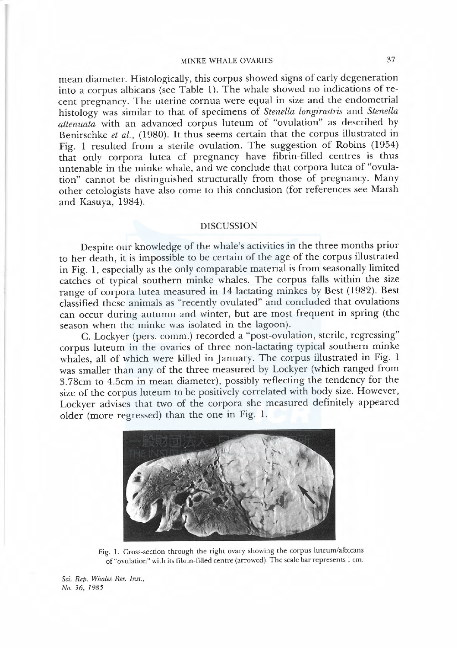# MINKE WHALE OVARIES 37

mean diameter. Histologically, this corpus showed signs of early degeneration into a corpus albicans (see Table I). The whale showed no indications of recent pregnancy. The uterine cornua were equal in size and the endometrial histology was similar to that of specimens of Stenella longirostris and Stenella attenuata with an advanced corpus luteum of "ovulation"as described by Benirschke et al., (1980). It thus seems certain that the corpus illustrated in Fig. 1 resulted from a sterile ovulation. The suggestion of Robins (1954) that only corpora lutea of pregnancy have fibrin-filled centres is thus untenable in the minke whale, and we conclude that corpora lutea of "ovulation" cannot be distinguished structurally from those of pregnancy. Many other cetologists have also come to this conclusion (for references see Marsh and Kasuya, 1984).

## DISCUSSION

Despite our knowledge of the whale's activities in the three months prior to her death, it is impossible to be certain of the age of the corpus illustrated in Fig. 1, especially as the only comparable material is from seasonally limited catches of typical southern minke whales. The corpus fals within the size range of corpora lutea measured in 14 lactating minkes by Best (1982). Best classified these animals as"recently ovulated"and concluded that ovulations can occur during autumn and winter, but are most frequent in spring (the season when the minke was isolated in the lagoon).

C. Lockyer (pers. comm.) recorded a"post-ovulation, sterile, regressing" corpus luteum in the ovaries of three non-lactating typical southern minke whales, all of which were killed in January. The corpus illustrated in Fig. 1 was smaler than any of the three measured by Lockyer (which ranged from 3. 78cm to 4.5cm in mean diameter), possibly reflecting the tendency for the size of the corpus luteum to be positively correlated with body size. However, Lockyer advises that two of the corpora she measured definitely appeared older (more regressed) than the one in Fig. 1.



Fig. 1. Cross-section through the right ovary showing the corpus luteum/albicans of "ovulation" with its fibrin-filled centre (arrowed). The scale bar represents 1 cm.

Sci. Rep. Whales Res. Inst., No. 36, 1985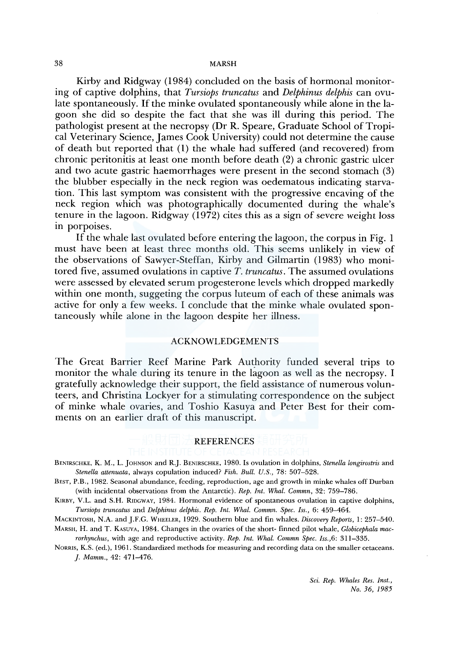#### 38 MARSH

Kirby and Ridgway ( 1984) concluded on the basis of hormonal monitoring of captive dolphins, that *Tursiops truncatus* and *Delphinus delphis* can ovulate spontaneously. If the minke ovulated spontaneously while alone in the lagoon she did so despite the fact that she was ill during this period. The pathologist present at the necropsy (Dr R. Speare, Graduate School of Tropical Veterinary Science, James Cook University) could not determine the cause of death but reported that (1) the whale had suffered (and recovered) from chronic peritonitis at least one month before death (2) a chronic gastric ulcer and two acute gastric haemorrhages were present in the second stomach (3) the blubber especially in the neck region was oedematous indicating starvation. This last symptom was consistent with the progressive encaving of the neck region which was photographically documented during the whale's tenure in the lagoon. Ridgway ( 1972) cites this as a sign of severe weight loss in porpoises.

If the whale last ovulated before entering the lagoon, the corpus in Fig. 1 must have been at least three months old. This seems unlikely in view of the observations of Sawyer-Steffan, Kirby and Gilmartin (1983) who monitored five, assumed ovulations in captive *T. truncatus.* The assumed ovulations were assessed by elevated serum progesterone levels which dropped markedly within one month, suggeting the corpus luteum of each of these animals was active for only a few weeks. I conclude that the minke whale ovulated spontaneously while alone in the lagoon despite her illness.

# ACKNOWLEDGEMENTS

The Great Barrier Reef Marine Park Authority funded several trips to monitor the whale during its tenure in the lagoon as well as the necropsy. I gratefully acknowledge their support, the field assistance of numerous volunteers, and Christina Lockyer for a stimulating correspondence on the subject of minke whale ovaries, and Toshio Kasuya and Peter Best for their comments on an earlier draft of this manuscript.

# **REFERENCES**

BENIRSCHKE, K. M., L. JOHNSON and R.J. BENIRSCHKE, 1980. Is ovulation in dolphins, *Stenella longirostris* and *Stenella attenuata,* always copulation induced? *Fish. Bull. U.S.,* 78: 507-528.

BEST, P.B., 1982. Seasonal abundance, feeding, reproduction, age and growth in minke whales off Durban (with incidental observations from the Antarctic). *Rep. lnt. Whal. Commn,* 32: 759-786.

KIRBY, V.L. and S.H. RIDGWAY, 1984. Hormonal evidence of spontaneous ovulation in captive dolphins, *Tursiops truncatus* and *Delphinus delphis. Rep. Int. Whal. Commn. Spee. Iss.,* 6: 459-464.

MACKINTOSH, N.A. and j.F.G. WHEELER, 1929. Southern blue and fin whales. *Discovery Reports,* 1: 257-540. MARSH, H. and T. KASUYA, 1984. Changes in the ovaries of the short- finned pilot whale, *Globicephala mac-*

*rorhynchus,* with age and reproductive activity. *Rep. Int. Whal. Commn Spee. Iss.,6:* 311-335.

NORRIS, K.S. (ed.), 1961. Standardized methods for measuring and recording data on the smaller cetaceans. *]. Mamm.,* 42: 471-476.